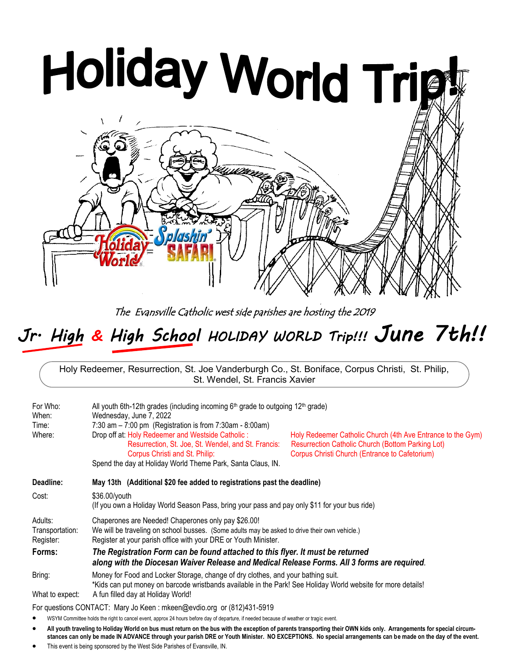# Holiday World Trigt

The Evansville Catholic west side parishes are hosting the 2019

# *Jr. High & High School HOLIDAY WORLD Trip!!! June 7th!!*

Holy Redeemer, Resurrection, St. Joe Vanderburgh Co., St. Boniface, Corpus Christi, St. Philip, St. Wendel, St. Francis Xavier

| For Who:<br>When:<br>Time:<br>Where:    | All youth 6th-12th grades (including incoming 6th grade to outgoing 12th grade)<br>Wednesday, June 7, 2022<br>7:30 am $-$ 7:00 pm (Registration is from 7:30 am $-$ 8:00 am)<br>Drop off at: Holy Redeemer and Westside Catholic:<br>Holy Redeemer Catholic Church (4th Ave Entrance to the Gym)<br>Resurrection, St. Joe, St. Wendel, and St. Francis:<br><b>Resurrection Catholic Church (Bottom Parking Lot)</b><br>Corpus Christi Church (Entrance to Cafetorium)<br>Corpus Christi and St. Philip:<br>Spend the day at Holiday World Theme Park, Santa Claus, IN. |  |  |
|-----------------------------------------|------------------------------------------------------------------------------------------------------------------------------------------------------------------------------------------------------------------------------------------------------------------------------------------------------------------------------------------------------------------------------------------------------------------------------------------------------------------------------------------------------------------------------------------------------------------------|--|--|
| Deadline:                               | May 13th (Additional \$20 fee added to registrations past the deadline)                                                                                                                                                                                                                                                                                                                                                                                                                                                                                                |  |  |
| Cost:                                   | \$36.00/youth<br>(If you own a Holiday World Season Pass, bring your pass and pay only \$11 for your bus ride)                                                                                                                                                                                                                                                                                                                                                                                                                                                         |  |  |
| Adults:<br>Transportation:<br>Register: | Chaperones are Needed! Chaperones only pay \$26.00!<br>We will be traveling on school busses. (Some adults may be asked to drive their own vehicle.)<br>Register at your parish office with your DRE or Youth Minister.                                                                                                                                                                                                                                                                                                                                                |  |  |
| Forms:                                  | The Registration Form can be found attached to this flyer. It must be returned<br>along with the Diocesan Waiver Release and Medical Release Forms. All 3 forms are required.                                                                                                                                                                                                                                                                                                                                                                                          |  |  |
| Bring:                                  | Money for Food and Locker Storage, change of dry clothes, and your bathing suit.<br>*Kids can put money on barcode wristbands available in the Park! See Holiday World website for more details!                                                                                                                                                                                                                                                                                                                                                                       |  |  |
| What to expect:                         | A fun filled day at Holiday World!                                                                                                                                                                                                                                                                                                                                                                                                                                                                                                                                     |  |  |

For questions CONTACT: Mary Jo Keen : mkeen@evdio.org or (812)431-5919

WSYM Committee holds the right to cancel event, approx 24 hours before day of departure, if needed because of weather or tragic event.

- **All youth traveling to Holiday World on bus must return on the bus with the exception of parents transporting their OWN kids only. Arrangements for special circumstances can only be made IN ADVANCE through your parish DRE or Youth Minister. NO EXCEPTIONS. No special arrangements can be made on the day of the event.**
- This event is being sponsored by the West Side Parishes of Evansville, IN.